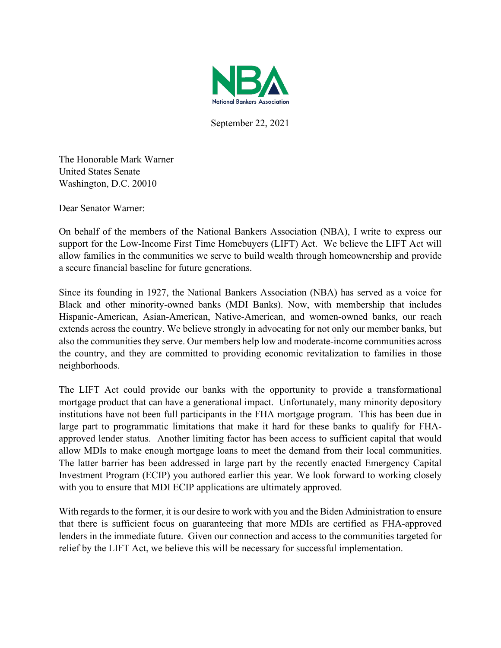

September 22, 2021

The Honorable Mark Warner United States Senate Washington, D.C. 20010

Dear Senator Warner:

On behalf of the members of the National Bankers Association (NBA), I write to express our support for the Low-Income First Time Homebuyers (LIFT) Act. We believe the LIFT Act will allow families in the communities we serve to build wealth through homeownership and provide a secure financial baseline for future generations.

Since its founding in 1927, the National Bankers Association (NBA) has served as a voice for Black and other minority-owned banks (MDI Banks). Now, with membership that includes Hispanic-American, Asian-American, Native-American, and women-owned banks, our reach extends across the country. We believe strongly in advocating for not only our member banks, but also the communities they serve. Our members help low and moderate-income communities across the country, and they are committed to providing economic revitalization to families in those neighborhoods.

The LIFT Act could provide our banks with the opportunity to provide a transformational mortgage product that can have a generational impact. Unfortunately, many minority depository institutions have not been full participants in the FHA mortgage program. This has been due in large part to programmatic limitations that make it hard for these banks to qualify for FHAapproved lender status. Another limiting factor has been access to sufficient capital that would allow MDIs to make enough mortgage loans to meet the demand from their local communities. The latter barrier has been addressed in large part by the recently enacted Emergency Capital Investment Program (ECIP) you authored earlier this year. We look forward to working closely with you to ensure that MDI ECIP applications are ultimately approved.

With regards to the former, it is our desire to work with you and the Biden Administration to ensure that there is sufficient focus on guaranteeing that more MDIs are certified as FHA-approved lenders in the immediate future. Given our connection and access to the communities targeted for relief by the LIFT Act, we believe this will be necessary for successful implementation.